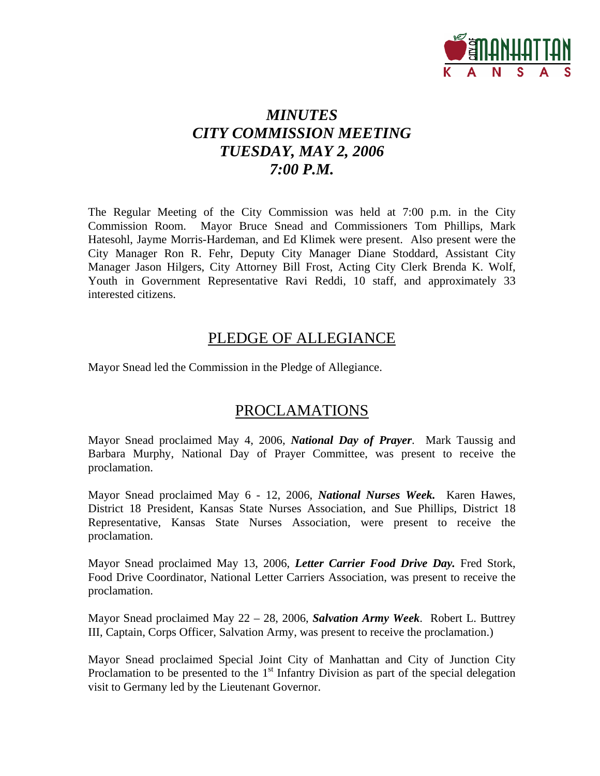

# *MINUTES CITY COMMISSION MEETING TUESDAY, MAY 2, 2006 7:00 P.M.*

The Regular Meeting of the City Commission was held at 7:00 p.m. in the City Commission Room. Mayor Bruce Snead and Commissioners Tom Phillips, Mark Hatesohl, Jayme Morris-Hardeman, and Ed Klimek were present. Also present were the City Manager Ron R. Fehr, Deputy City Manager Diane Stoddard, Assistant City Manager Jason Hilgers, City Attorney Bill Frost, Acting City Clerk Brenda K. Wolf, Youth in Government Representative Ravi Reddi, 10 staff, and approximately 33 interested citizens.

# PLEDGE OF ALLEGIANCE

Mayor Snead led the Commission in the Pledge of Allegiance.

# PROCLAMATIONS

Mayor Snead proclaimed May 4, 2006, *National Day of Prayer*. Mark Taussig and Barbara Murphy, National Day of Prayer Committee, was present to receive the proclamation.

Mayor Snead proclaimed May 6 - 12, 2006, *National Nurses Week.* Karen Hawes, District 18 President, Kansas State Nurses Association, and Sue Phillips, District 18 Representative, Kansas State Nurses Association, were present to receive the proclamation.

Mayor Snead proclaimed May 13, 2006, *Letter Carrier Food Drive Day.* Fred Stork, Food Drive Coordinator, National Letter Carriers Association, was present to receive the proclamation.

Mayor Snead proclaimed May 22 – 28, 2006, *Salvation Army Week*. Robert L. Buttrey III, Captain, Corps Officer, Salvation Army, was present to receive the proclamation.)

Mayor Snead proclaimed Special Joint City of Manhattan and City of Junction City Proclamation to be presented to the  $1<sup>st</sup>$  Infantry Division as part of the special delegation visit to Germany led by the Lieutenant Governor.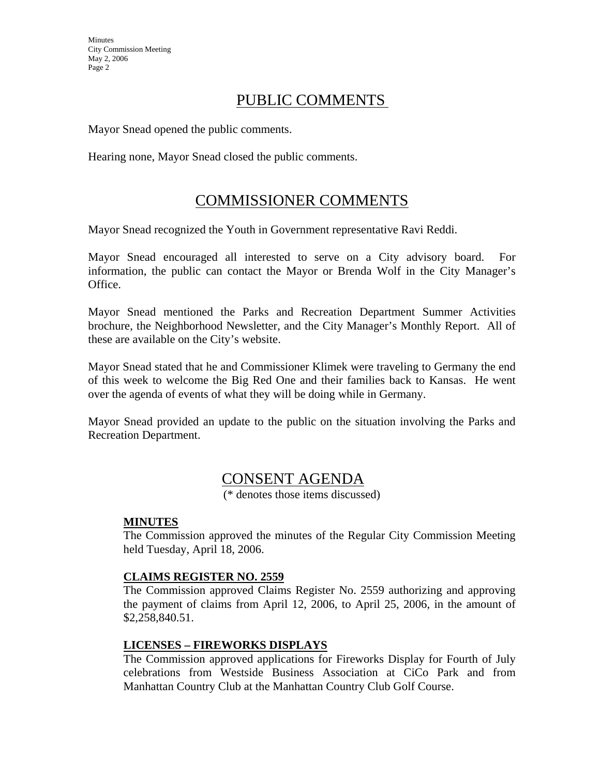## PUBLIC COMMENTS

Mayor Snead opened the public comments.

Hearing none, Mayor Snead closed the public comments.

# COMMISSIONER COMMENTS

Mayor Snead recognized the Youth in Government representative Ravi Reddi.

Mayor Snead encouraged all interested to serve on a City advisory board. For information, the public can contact the Mayor or Brenda Wolf in the City Manager's Office.

Mayor Snead mentioned the Parks and Recreation Department Summer Activities brochure, the Neighborhood Newsletter, and the City Manager's Monthly Report. All of these are available on the City's website.

Mayor Snead stated that he and Commissioner Klimek were traveling to Germany the end of this week to welcome the Big Red One and their families back to Kansas. He went over the agenda of events of what they will be doing while in Germany.

Mayor Snead provided an update to the public on the situation involving the Parks and Recreation Department.

## CONSENT AGENDA

(\* denotes those items discussed)

#### **MINUTES**

The Commission approved the minutes of the Regular City Commission Meeting held Tuesday, April 18, 2006.

#### **CLAIMS REGISTER NO. 2559**

The Commission approved Claims Register No. 2559 authorizing and approving the payment of claims from April 12, 2006, to April 25, 2006, in the amount of \$2,258,840.51.

#### **LICENSES – FIREWORKS DISPLAYS**

The Commission approved applications for Fireworks Display for Fourth of July celebrations from Westside Business Association at CiCo Park and from Manhattan Country Club at the Manhattan Country Club Golf Course.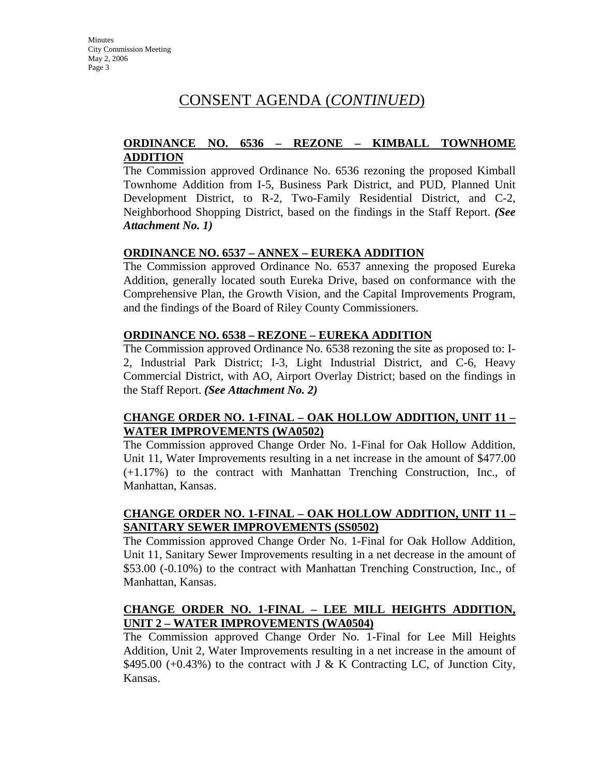# CONSENT AGENDA (*CONTINUED*)

### **ORDINANCE NO. 6536 – REZONE – KIMBALL TOWNHOME ADDITION**

The Commission approved Ordinance No. 6536 rezoning the proposed Kimball Townhome Addition from I-5, Business Park District, and PUD, Planned Unit Development District, to R-2, Two-Family Residential District, and C-2, Neighborhood Shopping District, based on the findings in the Staff Report. *(See Attachment No. 1)*

### **ORDINANCE NO. 6537 – ANNEX – EUREKA ADDITION**

The Commission approved Ordinance No. 6537 annexing the proposed Eureka Addition, generally located south Eureka Drive, based on conformance with the Comprehensive Plan, the Growth Vision, and the Capital Improvements Program, and the findings of the Board of Riley County Commissioners.

### **ORDINANCE NO. 6538 – REZONE – EUREKA ADDITION**

The Commission approved Ordinance No. 6538 rezoning the site as proposed to: I-2, Industrial Park District; I-3, Light Industrial District, and C-6, Heavy Commercial District, with AO, Airport Overlay District; based on the findings in the Staff Report. *(See Attachment No. 2)*

#### **CHANGE ORDER NO. 1-FINAL – OAK HOLLOW ADDITION, UNIT 11 – WATER IMPROVEMENTS (WA0502)**

The Commission approved Change Order No. 1-Final for Oak Hollow Addition, Unit 11, Water Improvements resulting in a net increase in the amount of \$477.00 (+1.17%) to the contract with Manhattan Trenching Construction, Inc., of Manhattan, Kansas.

### **CHANGE ORDER NO. 1-FINAL – OAK HOLLOW ADDITION, UNIT 11 – SANITARY SEWER IMPROVEMENTS (SS0502)**

The Commission approved Change Order No. 1-Final for Oak Hollow Addition, Unit 11, Sanitary Sewer Improvements resulting in a net decrease in the amount of \$53.00 (-0.10%) to the contract with Manhattan Trenching Construction, Inc., of Manhattan, Kansas.

### **CHANGE ORDER NO. 1-FINAL – LEE MILL HEIGHTS ADDITION, UNIT 2 – WATER IMPROVEMENTS (WA0504)**

The Commission approved Change Order No. 1-Final for Lee Mill Heights Addition, Unit 2, Water Improvements resulting in a net increase in the amount of \$495.00 (+0.43%) to the contract with J & K Contracting LC, of Junction City, Kansas.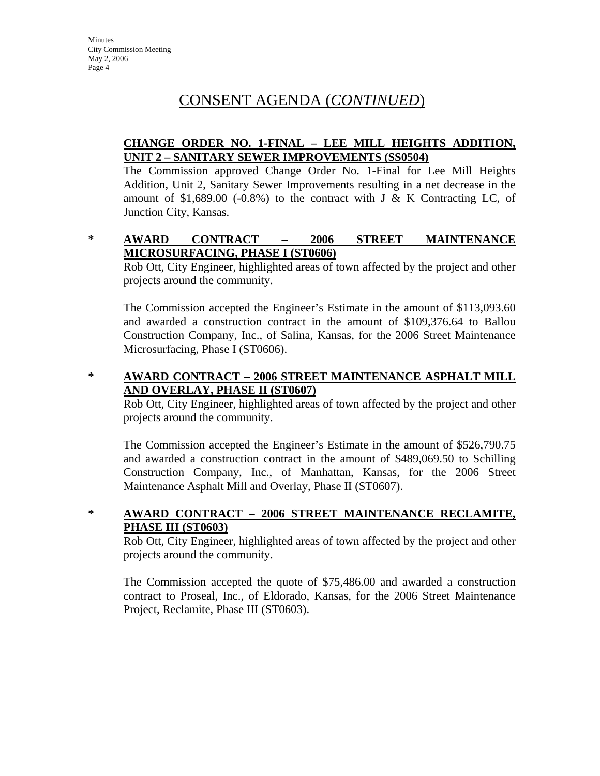# CONSENT AGENDA (*CONTINUED*)

### **CHANGE ORDER NO. 1-FINAL – LEE MILL HEIGHTS ADDITION, UNIT 2 – SANITARY SEWER IMPROVEMENTS (SS0504)**

The Commission approved Change Order No. 1-Final for Lee Mill Heights Addition, Unit 2, Sanitary Sewer Improvements resulting in a net decrease in the amount of \$1,689.00 (-0.8%) to the contract with J & K Contracting LC, of Junction City, Kansas.

### **\* AWARD CONTRACT – 2006 STREET MAINTENANCE MICROSURFACING, PHASE I (ST0606)**

Rob Ott, City Engineer, highlighted areas of town affected by the project and other projects around the community.

The Commission accepted the Engineer's Estimate in the amount of \$113,093.60 and awarded a construction contract in the amount of \$109,376.64 to Ballou Construction Company, Inc., of Salina, Kansas, for the 2006 Street Maintenance Microsurfacing, Phase I (ST0606).

#### **\* AWARD CONTRACT – 2006 STREET MAINTENANCE ASPHALT MILL AND OVERLAY, PHASE II (ST0607)**

Rob Ott, City Engineer, highlighted areas of town affected by the project and other projects around the community.

The Commission accepted the Engineer's Estimate in the amount of \$526,790.75 and awarded a construction contract in the amount of \$489,069.50 to Schilling Construction Company, Inc., of Manhattan, Kansas, for the 2006 Street Maintenance Asphalt Mill and Overlay, Phase II (ST0607).

## **\* AWARD CONTRACT – 2006 STREET MAINTENANCE RECLAMITE, PHASE III (ST0603)**

Rob Ott, City Engineer, highlighted areas of town affected by the project and other projects around the community.

The Commission accepted the quote of \$75,486.00 and awarded a construction contract to Proseal, Inc., of Eldorado, Kansas, for the 2006 Street Maintenance Project, Reclamite, Phase III (ST0603).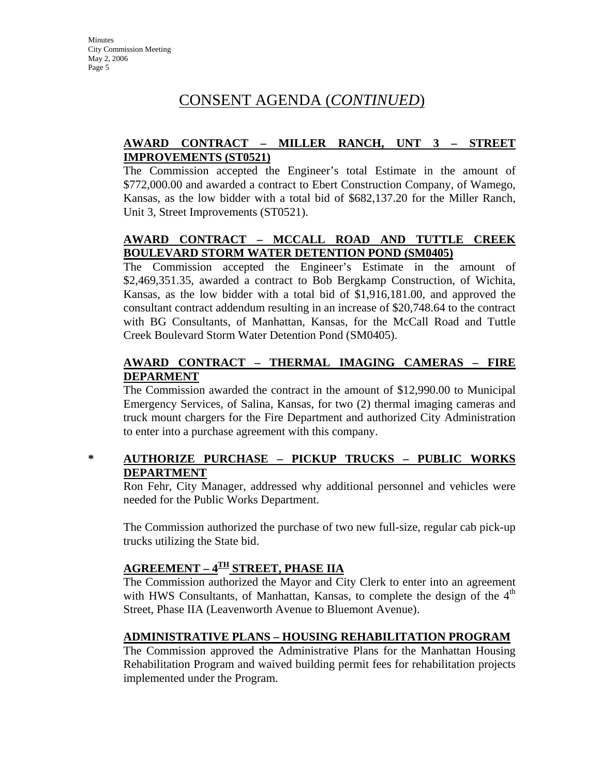# CONSENT AGENDA (*CONTINUED*)

### **AWARD CONTRACT – MILLER RANCH, UNT 3 – STREET IMPROVEMENTS (ST0521)**

The Commission accepted the Engineer's total Estimate in the amount of \$772,000.00 and awarded a contract to Ebert Construction Company, of Wamego, Kansas, as the low bidder with a total bid of \$682,137.20 for the Miller Ranch, Unit 3, Street Improvements (ST0521).

### **AWARD CONTRACT – MCCALL ROAD AND TUTTLE CREEK BOULEVARD STORM WATER DETENTION POND (SM0405)**

The Commission accepted the Engineer's Estimate in the amount of \$2,469,351.35, awarded a contract to Bob Bergkamp Construction, of Wichita, Kansas, as the low bidder with a total bid of \$1,916,181.00, and approved the consultant contract addendum resulting in an increase of \$20,748.64 to the contract with BG Consultants, of Manhattan, Kansas, for the McCall Road and Tuttle Creek Boulevard Storm Water Detention Pond (SM0405).

### **AWARD CONTRACT – THERMAL IMAGING CAMERAS – FIRE DEPARMENT**

The Commission awarded the contract in the amount of \$12,990.00 to Municipal Emergency Services, of Salina, Kansas, for two (2) thermal imaging cameras and truck mount chargers for the Fire Department and authorized City Administration to enter into a purchase agreement with this company.

## **\* AUTHORIZE PURCHASE – PICKUP TRUCKS – PUBLIC WORKS DEPARTMENT**

Ron Fehr, City Manager, addressed why additional personnel and vehicles were needed for the Public Works Department.

The Commission authorized the purchase of two new full-size, regular cab pick-up trucks utilizing the State bid.

## **AGREEMENT – 4TH STREET, PHASE IIA**

The Commission authorized the Mayor and City Clerk to enter into an agreement with HWS Consultants, of Manhattan, Kansas, to complete the design of the  $4<sup>th</sup>$ Street, Phase IIA (Leavenworth Avenue to Bluemont Avenue).

#### **ADMINISTRATIVE PLANS – HOUSING REHABILITATION PROGRAM**

The Commission approved the Administrative Plans for the Manhattan Housing Rehabilitation Program and waived building permit fees for rehabilitation projects implemented under the Program.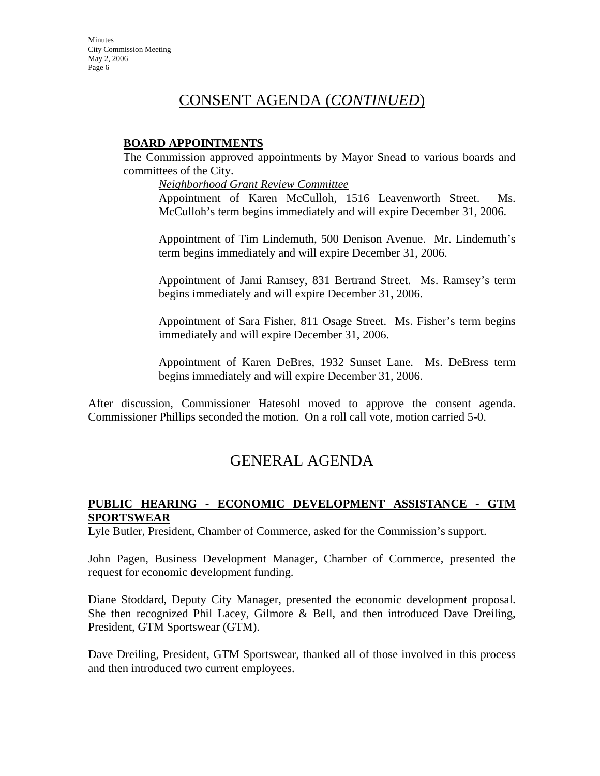# CONSENT AGENDA (*CONTINUED*)

#### **BOARD APPOINTMENTS**

The Commission approved appointments by Mayor Snead to various boards and committees of the City.

*Neighborhood Grant Review Committee*

Appointment of Karen McCulloh, 1516 Leavenworth Street. Ms. McCulloh's term begins immediately and will expire December 31, 2006.

Appointment of Tim Lindemuth, 500 Denison Avenue. Mr. Lindemuth's term begins immediately and will expire December 31, 2006.

Appointment of Jami Ramsey, 831 Bertrand Street. Ms. Ramsey's term begins immediately and will expire December 31, 2006.

Appointment of Sara Fisher, 811 Osage Street. Ms. Fisher's term begins immediately and will expire December 31, 2006.

Appointment of Karen DeBres, 1932 Sunset Lane. Ms. DeBress term begins immediately and will expire December 31, 2006.

After discussion, Commissioner Hatesohl moved to approve the consent agenda. Commissioner Phillips seconded the motion. On a roll call vote, motion carried 5-0.

# GENERAL AGENDA

### **PUBLIC HEARING - ECONOMIC DEVELOPMENT ASSISTANCE - GTM SPORTSWEAR**

Lyle Butler, President, Chamber of Commerce, asked for the Commission's support.

John Pagen, Business Development Manager, Chamber of Commerce, presented the request for economic development funding.

Diane Stoddard, Deputy City Manager, presented the economic development proposal. She then recognized Phil Lacey, Gilmore & Bell, and then introduced Dave Dreiling, President, GTM Sportswear (GTM).

Dave Dreiling, President, GTM Sportswear, thanked all of those involved in this process and then introduced two current employees.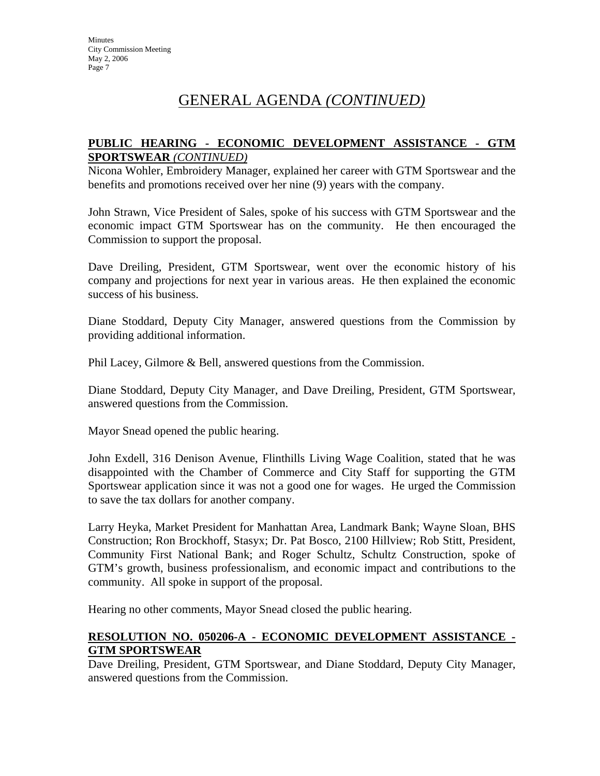#### **PUBLIC HEARING - ECONOMIC DEVELOPMENT ASSISTANCE - GTM SPORTSWEAR** *(CONTINUED)*

Nicona Wohler, Embroidery Manager, explained her career with GTM Sportswear and the benefits and promotions received over her nine (9) years with the company.

John Strawn, Vice President of Sales, spoke of his success with GTM Sportswear and the economic impact GTM Sportswear has on the community. He then encouraged the Commission to support the proposal.

Dave Dreiling, President, GTM Sportswear, went over the economic history of his company and projections for next year in various areas. He then explained the economic success of his business.

Diane Stoddard, Deputy City Manager, answered questions from the Commission by providing additional information.

Phil Lacey, Gilmore & Bell, answered questions from the Commission.

Diane Stoddard, Deputy City Manager, and Dave Dreiling, President, GTM Sportswear, answered questions from the Commission.

Mayor Snead opened the public hearing.

John Exdell, 316 Denison Avenue, Flinthills Living Wage Coalition, stated that he was disappointed with the Chamber of Commerce and City Staff for supporting the GTM Sportswear application since it was not a good one for wages. He urged the Commission to save the tax dollars for another company.

Larry Heyka, Market President for Manhattan Area, Landmark Bank; Wayne Sloan, BHS Construction; Ron Brockhoff, Stasyx; Dr. Pat Bosco, 2100 Hillview; Rob Stitt, President, Community First National Bank; and Roger Schultz, Schultz Construction, spoke of GTM's growth, business professionalism, and economic impact and contributions to the community. All spoke in support of the proposal.

Hearing no other comments, Mayor Snead closed the public hearing.

#### **RESOLUTION NO. 050206-A - ECONOMIC DEVELOPMENT ASSISTANCE - GTM SPORTSWEAR**

Dave Dreiling, President, GTM Sportswear, and Diane Stoddard, Deputy City Manager, answered questions from the Commission.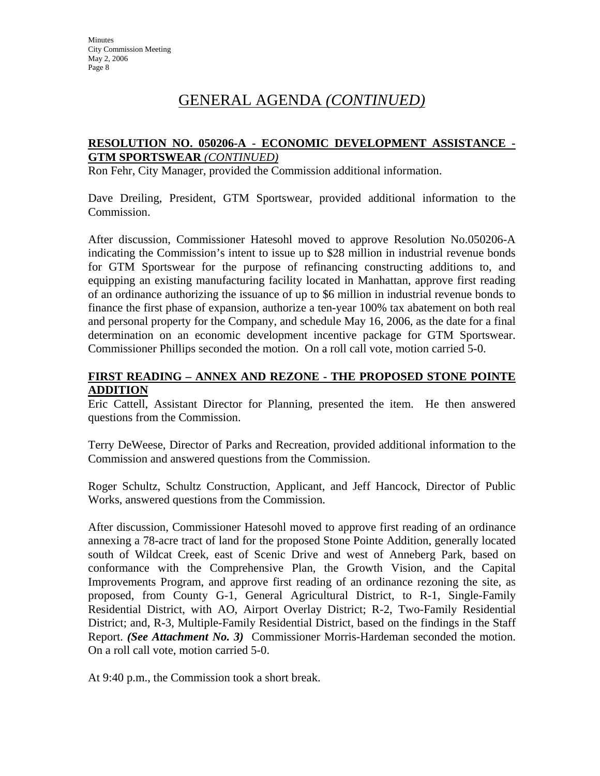### **RESOLUTION NO. 050206-A - ECONOMIC DEVELOPMENT ASSISTANCE - GTM SPORTSWEAR** *(CONTINUED)*

Ron Fehr, City Manager, provided the Commission additional information.

Dave Dreiling, President, GTM Sportswear, provided additional information to the Commission.

After discussion, Commissioner Hatesohl moved to approve Resolution No.050206-A indicating the Commission's intent to issue up to \$28 million in industrial revenue bonds for GTM Sportswear for the purpose of refinancing constructing additions to, and equipping an existing manufacturing facility located in Manhattan, approve first reading of an ordinance authorizing the issuance of up to \$6 million in industrial revenue bonds to finance the first phase of expansion, authorize a ten-year 100% tax abatement on both real and personal property for the Company, and schedule May 16, 2006, as the date for a final determination on an economic development incentive package for GTM Sportswear. Commissioner Phillips seconded the motion. On a roll call vote, motion carried 5-0.

#### **FIRST READING – ANNEX AND REZONE - THE PROPOSED STONE POINTE ADDITION**

Eric Cattell, Assistant Director for Planning, presented the item. He then answered questions from the Commission.

Terry DeWeese, Director of Parks and Recreation, provided additional information to the Commission and answered questions from the Commission.

Roger Schultz, Schultz Construction, Applicant, and Jeff Hancock, Director of Public Works, answered questions from the Commission.

After discussion, Commissioner Hatesohl moved to approve first reading of an ordinance annexing a 78-acre tract of land for the proposed Stone Pointe Addition, generally located south of Wildcat Creek, east of Scenic Drive and west of Anneberg Park, based on conformance with the Comprehensive Plan, the Growth Vision, and the Capital Improvements Program, and approve first reading of an ordinance rezoning the site, as proposed, from County G-1, General Agricultural District, to R-1, Single-Family Residential District, with AO, Airport Overlay District; R-2, Two-Family Residential District; and, R-3, Multiple-Family Residential District, based on the findings in the Staff Report. *(See Attachment No. 3)* Commissioner Morris-Hardeman seconded the motion. On a roll call vote, motion carried 5-0.

At 9:40 p.m., the Commission took a short break.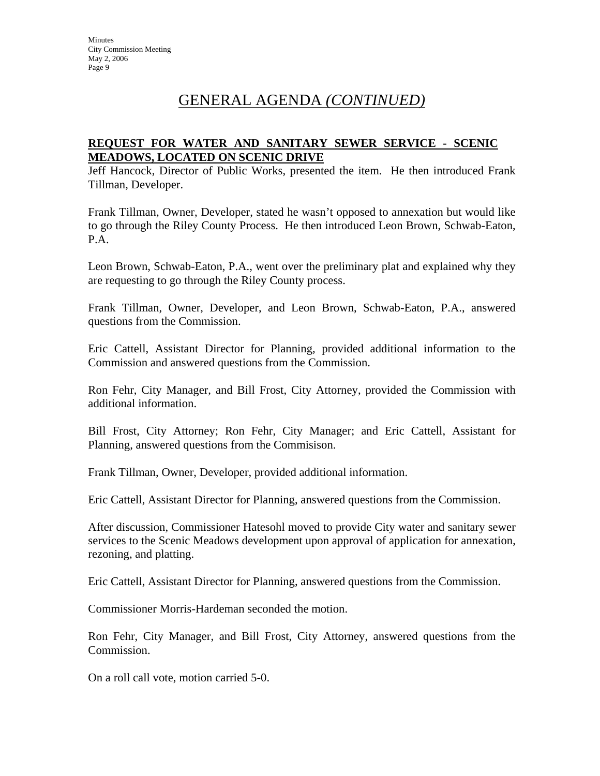### **REQUEST FOR WATER AND SANITARY SEWER SERVICE - SCENIC MEADOWS, LOCATED ON SCENIC DRIVE**

Jeff Hancock, Director of Public Works, presented the item. He then introduced Frank Tillman, Developer.

Frank Tillman, Owner, Developer, stated he wasn't opposed to annexation but would like to go through the Riley County Process. He then introduced Leon Brown, Schwab-Eaton, P.A.

Leon Brown, Schwab-Eaton, P.A., went over the preliminary plat and explained why they are requesting to go through the Riley County process.

Frank Tillman, Owner, Developer, and Leon Brown, Schwab-Eaton, P.A., answered questions from the Commission.

Eric Cattell, Assistant Director for Planning, provided additional information to the Commission and answered questions from the Commission.

Ron Fehr, City Manager, and Bill Frost, City Attorney, provided the Commission with additional information.

Bill Frost, City Attorney; Ron Fehr, City Manager; and Eric Cattell, Assistant for Planning, answered questions from the Commisison.

Frank Tillman, Owner, Developer, provided additional information.

Eric Cattell, Assistant Director for Planning, answered questions from the Commission.

After discussion, Commissioner Hatesohl moved to provide City water and sanitary sewer services to the Scenic Meadows development upon approval of application for annexation, rezoning, and platting.

Eric Cattell, Assistant Director for Planning, answered questions from the Commission.

Commissioner Morris-Hardeman seconded the motion.

Ron Fehr, City Manager, and Bill Frost, City Attorney, answered questions from the Commission.

On a roll call vote, motion carried 5-0.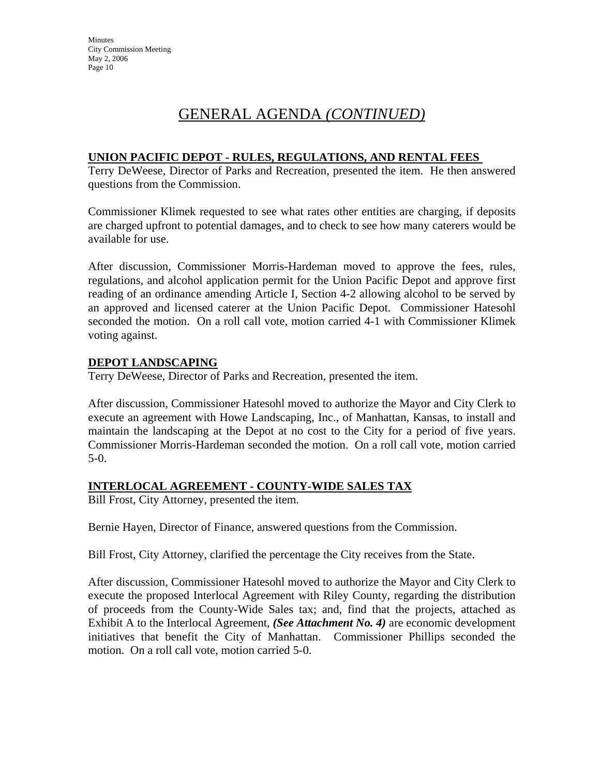## **UNION PACIFIC DEPOT - RULES, REGULATIONS, AND RENTAL FEES**

Terry DeWeese, Director of Parks and Recreation, presented the item. He then answered questions from the Commission.

Commissioner Klimek requested to see what rates other entities are charging, if deposits are charged upfront to potential damages, and to check to see how many caterers would be available for use.

After discussion, Commissioner Morris-Hardeman moved to approve the fees, rules, regulations, and alcohol application permit for the Union Pacific Depot and approve first reading of an ordinance amending Article I, Section 4-2 allowing alcohol to be served by an approved and licensed caterer at the Union Pacific Depot. Commissioner Hatesohl seconded the motion. On a roll call vote, motion carried 4-1 with Commissioner Klimek voting against.

#### **DEPOT LANDSCAPING**

Terry DeWeese, Director of Parks and Recreation, presented the item.

After discussion, Commissioner Hatesohl moved to authorize the Mayor and City Clerk to execute an agreement with Howe Landscaping, Inc., of Manhattan, Kansas, to install and maintain the landscaping at the Depot at no cost to the City for a period of five years. Commissioner Morris-Hardeman seconded the motion. On a roll call vote, motion carried 5-0.

#### **INTERLOCAL AGREEMENT - COUNTY-WIDE SALES TAX**

Bill Frost, City Attorney, presented the item.

Bernie Hayen, Director of Finance, answered questions from the Commission.

Bill Frost, City Attorney, clarified the percentage the City receives from the State.

After discussion, Commissioner Hatesohl moved to authorize the Mayor and City Clerk to execute the proposed Interlocal Agreement with Riley County, regarding the distribution of proceeds from the County-Wide Sales tax; and, find that the projects, attached as Exhibit A to the Interlocal Agreement, *(See Attachment No. 4)* are economic development initiatives that benefit the City of Manhattan. Commissioner Phillips seconded the motion. On a roll call vote, motion carried 5-0.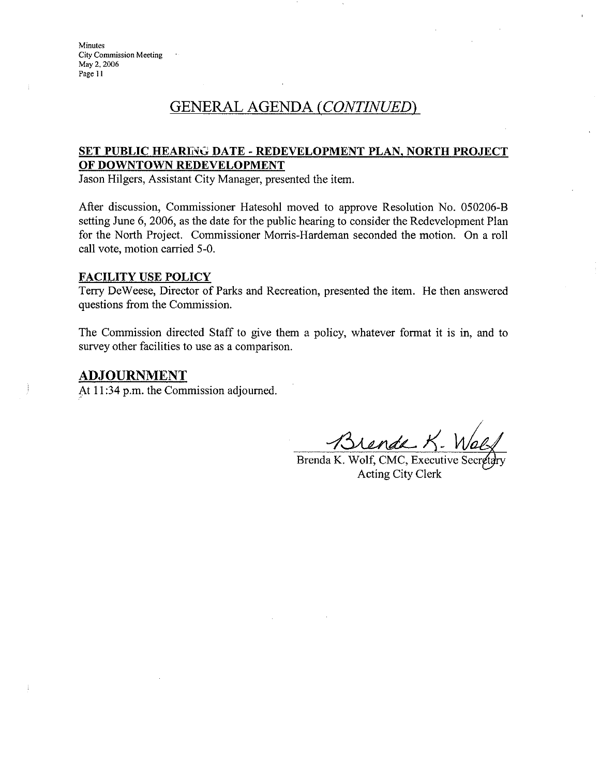#### SET PUBLIC HEARING DATE - REDEVELOPMENT PLAN, NORTH PROJECT OF DOWNTOWN REDEVELOPMENT

Jason Hilgers, Assistant City Manager, presented the item.

After discussion, Commissioner Hatesohl moved to approve Resolution No. 050206-B setting June 6, 2006, as the date for the public hearing to consider the Redevelopment Plan for the North Project. Commissioner Morris-Hardeman seconded the motion. On a roll call vote, motion carried 5-0.

#### **FACILITY USE POLICY**

Terry DeWeese, Director of Parks and Recreation, presented the item. He then answered questions from the Commission.

The Commission directed Staff to give them a policy, whatever format it is in, and to survey other facilities to use as a comparison.

#### <u>ADJOURNMENT</u>

At 11:34 p.m. the Commission adjourned.

<u>Grende</u> K.

Brenda K. Wolf, CMC, Executive Sec Acting City Clerk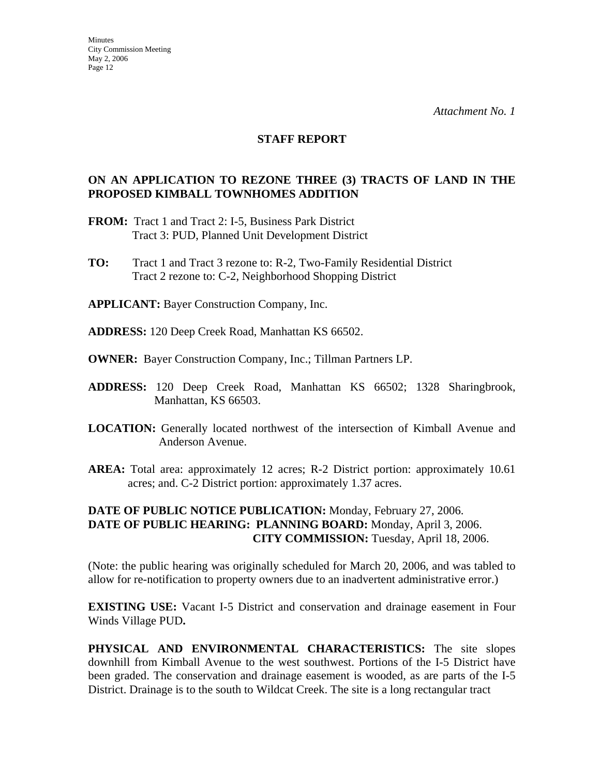#### **STAFF REPORT**

#### **ON AN APPLICATION TO REZONE THREE (3) TRACTS OF LAND IN THE PROPOSED KIMBALL TOWNHOMES ADDITION**

- **FROM:** Tract 1 and Tract 2: I-5, Business Park District Tract 3: PUD, Planned Unit Development District
- **TO:** Tract 1 and Tract 3 rezone to: R-2, Two-Family Residential District Tract 2 rezone to: C-2, Neighborhood Shopping District

**APPLICANT:** Bayer Construction Company, Inc.

- **ADDRESS:** 120 Deep Creek Road, Manhattan KS 66502.
- **OWNER:** Bayer Construction Company, Inc.; Tillman Partners LP.
- **ADDRESS:** 120 Deep Creek Road, Manhattan KS 66502; 1328 Sharingbrook, Manhattan, KS 66503.
- **LOCATION:** Generally located northwest of the intersection of Kimball Avenue and Anderson Avenue.
- **AREA:** Total area: approximately 12 acres; R-2 District portion: approximately 10.61 acres; and. C-2 District portion: approximately 1.37 acres.

#### **DATE OF PUBLIC NOTICE PUBLICATION:** Monday, February 27, 2006. **DATE OF PUBLIC HEARING: PLANNING BOARD:** Monday, April 3, 2006. **CITY COMMISSION:** Tuesday, April 18, 2006.

(Note: the public hearing was originally scheduled for March 20, 2006, and was tabled to allow for re-notification to property owners due to an inadvertent administrative error.)

**EXISTING USE:** Vacant I-5 District and conservation and drainage easement in Four Winds Village PUD**.** 

**PHYSICAL AND ENVIRONMENTAL CHARACTERISTICS:** The site slopes downhill from Kimball Avenue to the west southwest. Portions of the I-5 District have been graded. The conservation and drainage easement is wooded, as are parts of the I-5 District. Drainage is to the south to Wildcat Creek. The site is a long rectangular tract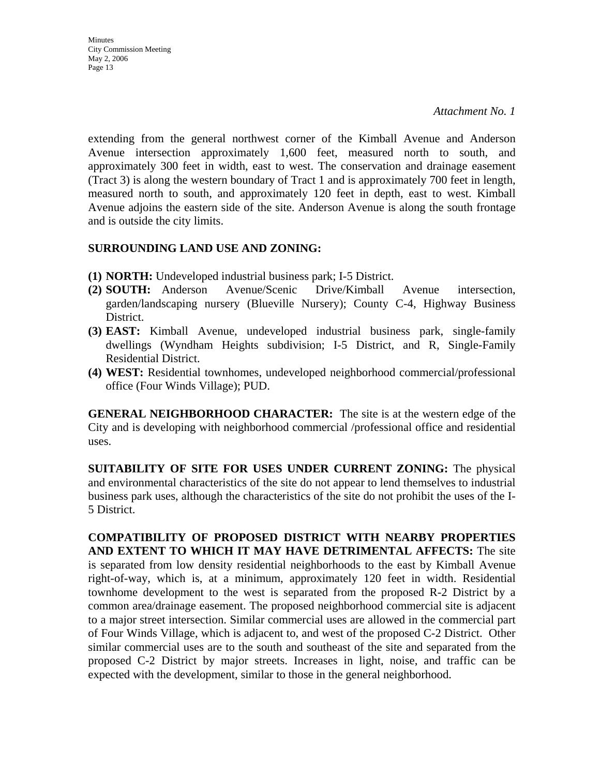**Minutes** City Commission Meeting May 2, 2006 Page 13

extending from the general northwest corner of the Kimball Avenue and Anderson Avenue intersection approximately 1,600 feet, measured north to south, and approximately 300 feet in width, east to west. The conservation and drainage easement (Tract 3) is along the western boundary of Tract 1 and is approximately 700 feet in length, measured north to south, and approximately 120 feet in depth, east to west. Kimball Avenue adjoins the eastern side of the site. Anderson Avenue is along the south frontage and is outside the city limits.

#### **SURROUNDING LAND USE AND ZONING:**

- **(1) NORTH:** Undeveloped industrial business park; I-5 District.
- **(2) SOUTH:** Anderson Avenue/Scenic Drive/Kimball Avenue intersection, garden/landscaping nursery (Blueville Nursery); County C-4, Highway Business District.
- **(3) EAST:** Kimball Avenue, undeveloped industrial business park, single-family dwellings (Wyndham Heights subdivision; I-5 District, and R, Single-Family Residential District.
- **(4) WEST:** Residential townhomes, undeveloped neighborhood commercial/professional office (Four Winds Village); PUD.

**GENERAL NEIGHBORHOOD CHARACTER:** The site is at the western edge of the City and is developing with neighborhood commercial /professional office and residential uses.

**SUITABILITY OF SITE FOR USES UNDER CURRENT ZONING:** The physical and environmental characteristics of the site do not appear to lend themselves to industrial business park uses, although the characteristics of the site do not prohibit the uses of the I-5 District.

**COMPATIBILITY OF PROPOSED DISTRICT WITH NEARBY PROPERTIES AND EXTENT TO WHICH IT MAY HAVE DETRIMENTAL AFFECTS:** The site is separated from low density residential neighborhoods to the east by Kimball Avenue right-of-way, which is, at a minimum, approximately 120 feet in width. Residential townhome development to the west is separated from the proposed R-2 District by a common area/drainage easement. The proposed neighborhood commercial site is adjacent to a major street intersection. Similar commercial uses are allowed in the commercial part of Four Winds Village, which is adjacent to, and west of the proposed C-2 District. Other similar commercial uses are to the south and southeast of the site and separated from the proposed C-2 District by major streets. Increases in light, noise, and traffic can be expected with the development, similar to those in the general neighborhood.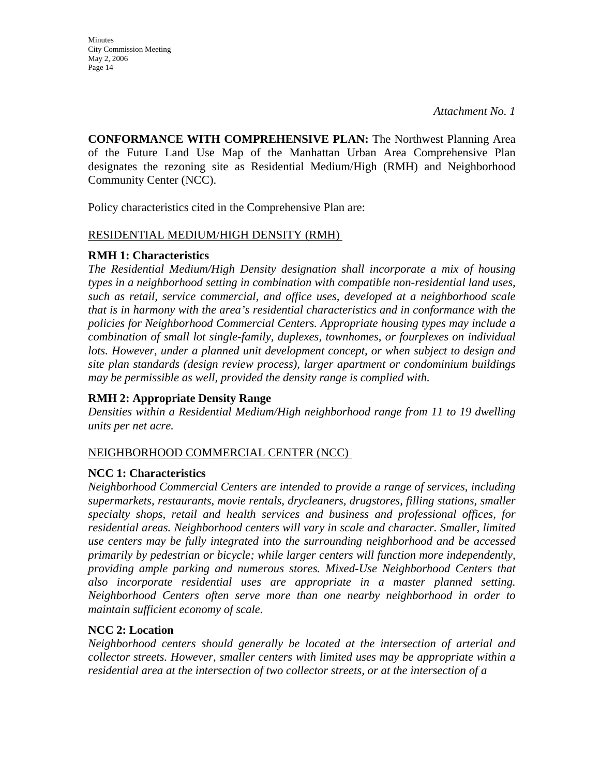**Minutes** City Commission Meeting May 2, 2006 Page 14

**CONFORMANCE WITH COMPREHENSIVE PLAN:** The Northwest Planning Area of the Future Land Use Map of the Manhattan Urban Area Comprehensive Plan designates the rezoning site as Residential Medium/High (RMH) and Neighborhood Community Center (NCC).

Policy characteristics cited in the Comprehensive Plan are:

#### RESIDENTIAL MEDIUM/HIGH DENSITY (RMH)

#### **RMH 1: Characteristics**

*The Residential Medium/High Density designation shall incorporate a mix of housing types in a neighborhood setting in combination with compatible non-residential land uses, such as retail, service commercial, and office uses, developed at a neighborhood scale that is in harmony with the area's residential characteristics and in conformance with the policies for Neighborhood Commercial Centers. Appropriate housing types may include a combination of small lot single-family, duplexes, townhomes, or fourplexes on individual*  lots. However, under a planned unit development concept, or when subject to design and *site plan standards (design review process), larger apartment or condominium buildings may be permissible as well, provided the density range is complied with.* 

#### **RMH 2: Appropriate Density Range**

*Densities within a Residential Medium/High neighborhood range from 11 to 19 dwelling units per net acre.* 

#### NEIGHBORHOOD COMMERCIAL CENTER (NCC)

#### **NCC 1: Characteristics**

*Neighborhood Commercial Centers are intended to provide a range of services, including supermarkets, restaurants, movie rentals, drycleaners, drugstores, filling stations, smaller specialty shops, retail and health services and business and professional offices, for residential areas. Neighborhood centers will vary in scale and character. Smaller, limited use centers may be fully integrated into the surrounding neighborhood and be accessed primarily by pedestrian or bicycle; while larger centers will function more independently, providing ample parking and numerous stores. Mixed-Use Neighborhood Centers that also incorporate residential uses are appropriate in a master planned setting. Neighborhood Centers often serve more than one nearby neighborhood in order to maintain sufficient economy of scale.* 

#### **NCC 2: Location**

*Neighborhood centers should generally be located at the intersection of arterial and collector streets. However, smaller centers with limited uses may be appropriate within a residential area at the intersection of two collector streets, or at the intersection of a*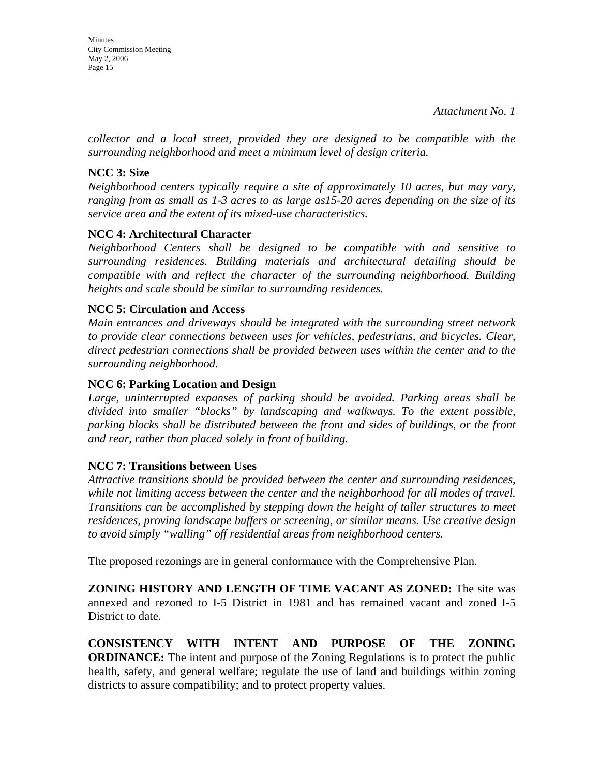*collector and a local street, provided they are designed to be compatible with the surrounding neighborhood and meet a minimum level of design criteria.* 

### **NCC 3: Size**

*Neighborhood centers typically require a site of approximately 10 acres, but may vary, ranging from as small as 1-3 acres to as large as15-20 acres depending on the size of its service area and the extent of its mixed-use characteristics.* 

## **NCC 4: Architectural Character**

*Neighborhood Centers shall be designed to be compatible with and sensitive to surrounding residences. Building materials and architectural detailing should be compatible with and reflect the character of the surrounding neighborhood. Building heights and scale should be similar to surrounding residences.* 

### **NCC 5: Circulation and Access**

*Main entrances and driveways should be integrated with the surrounding street network to provide clear connections between uses for vehicles, pedestrians, and bicycles. Clear, direct pedestrian connections shall be provided between uses within the center and to the surrounding neighborhood.* 

### **NCC 6: Parking Location and Design**

*Large, uninterrupted expanses of parking should be avoided. Parking areas shall be divided into smaller "blocks" by landscaping and walkways. To the extent possible, parking blocks shall be distributed between the front and sides of buildings, or the front and rear, rather than placed solely in front of building.* 

#### **NCC 7: Transitions between Uses**

*Attractive transitions should be provided between the center and surrounding residences, while not limiting access between the center and the neighborhood for all modes of travel. Transitions can be accomplished by stepping down the height of taller structures to meet residences, proving landscape buffers or screening, or similar means. Use creative design to avoid simply "walling" off residential areas from neighborhood centers.* 

The proposed rezonings are in general conformance with the Comprehensive Plan.

**ZONING HISTORY AND LENGTH OF TIME VACANT AS ZONED:** The site was annexed and rezoned to I-5 District in 1981 and has remained vacant and zoned I-5 District to date.

**CONSISTENCY WITH INTENT AND PURPOSE OF THE ZONING ORDINANCE:** The intent and purpose of the Zoning Regulations is to protect the public health, safety, and general welfare; regulate the use of land and buildings within zoning districts to assure compatibility; and to protect property values.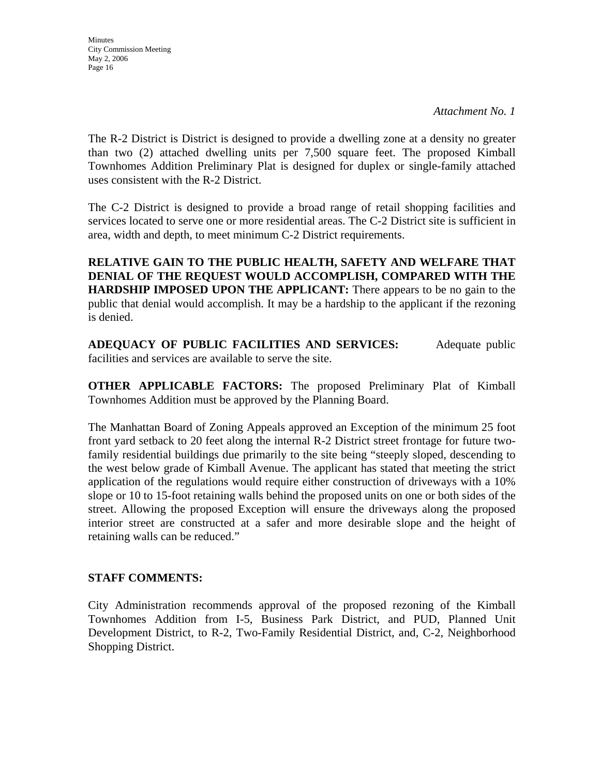**Minutes** City Commission Meeting May 2, 2006 Page 16

The R-2 District is District is designed to provide a dwelling zone at a density no greater than two (2) attached dwelling units per 7,500 square feet. The proposed Kimball Townhomes Addition Preliminary Plat is designed for duplex or single-family attached uses consistent with the R-2 District.

The C-2 District is designed to provide a broad range of retail shopping facilities and services located to serve one or more residential areas. The C-2 District site is sufficient in area, width and depth, to meet minimum C-2 District requirements.

**RELATIVE GAIN TO THE PUBLIC HEALTH, SAFETY AND WELFARE THAT DENIAL OF THE REQUEST WOULD ACCOMPLISH, COMPARED WITH THE HARDSHIP IMPOSED UPON THE APPLICANT:** There appears to be no gain to the public that denial would accomplish. It may be a hardship to the applicant if the rezoning is denied.

**ADEQUACY OF PUBLIC FACILITIES AND SERVICES:** Adequate public facilities and services are available to serve the site.

**OTHER APPLICABLE FACTORS:** The proposed Preliminary Plat of Kimball Townhomes Addition must be approved by the Planning Board.

The Manhattan Board of Zoning Appeals approved an Exception of the minimum 25 foot front yard setback to 20 feet along the internal R-2 District street frontage for future twofamily residential buildings due primarily to the site being "steeply sloped, descending to the west below grade of Kimball Avenue. The applicant has stated that meeting the strict application of the regulations would require either construction of driveways with a 10% slope or 10 to 15-foot retaining walls behind the proposed units on one or both sides of the street. Allowing the proposed Exception will ensure the driveways along the proposed interior street are constructed at a safer and more desirable slope and the height of retaining walls can be reduced."

#### **STAFF COMMENTS:**

City Administration recommends approval of the proposed rezoning of the Kimball Townhomes Addition from I-5, Business Park District, and PUD, Planned Unit Development District, to R-2, Two-Family Residential District, and, C-2, Neighborhood Shopping District.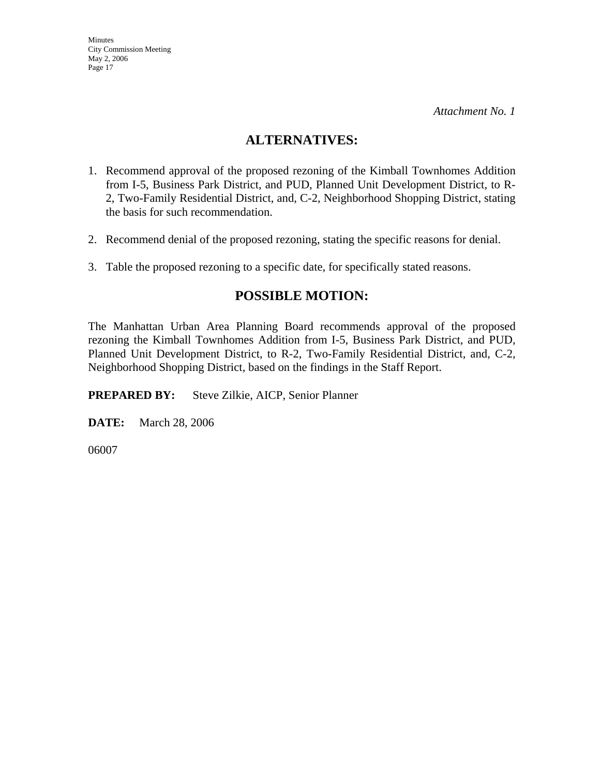## **ALTERNATIVES:**

- 1. Recommend approval of the proposed rezoning of the Kimball Townhomes Addition from I-5, Business Park District, and PUD, Planned Unit Development District, to R-2, Two-Family Residential District, and, C-2, Neighborhood Shopping District, stating the basis for such recommendation.
- 2. Recommend denial of the proposed rezoning, stating the specific reasons for denial.
- 3. Table the proposed rezoning to a specific date, for specifically stated reasons.

# **POSSIBLE MOTION:**

The Manhattan Urban Area Planning Board recommends approval of the proposed rezoning the Kimball Townhomes Addition from I-5, Business Park District, and PUD, Planned Unit Development District, to R-2, Two-Family Residential District, and, C-2, Neighborhood Shopping District, based on the findings in the Staff Report.

**PREPARED BY:** Steve Zilkie, AICP, Senior Planner

**DATE:** March 28, 2006

06007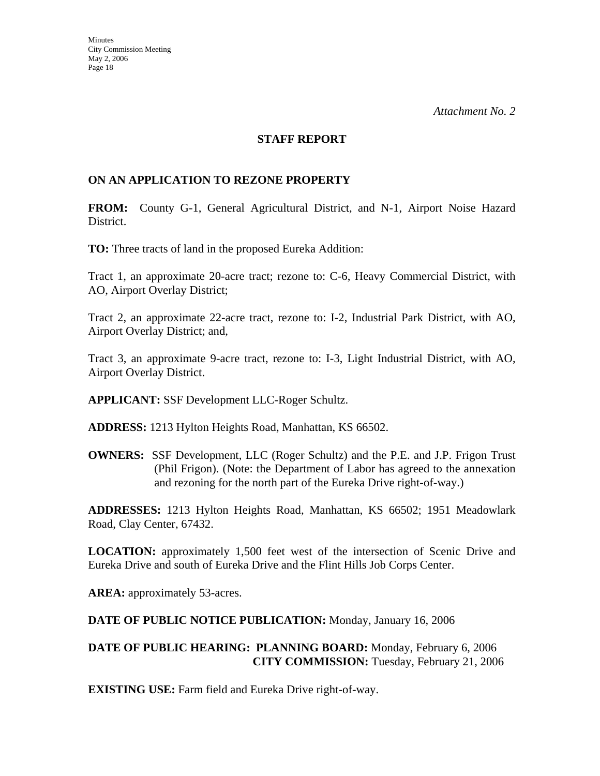#### **STAFF REPORT**

#### **ON AN APPLICATION TO REZONE PROPERTY**

**FROM:** County G-1, General Agricultural District, and N-1, Airport Noise Hazard District.

**TO:** Three tracts of land in the proposed Eureka Addition:

Tract 1, an approximate 20-acre tract; rezone to: C-6, Heavy Commercial District, with AO, Airport Overlay District;

Tract 2, an approximate 22-acre tract, rezone to: I-2, Industrial Park District, with AO, Airport Overlay District; and,

Tract 3, an approximate 9-acre tract, rezone to: I-3, Light Industrial District, with AO, Airport Overlay District.

**APPLICANT:** SSF Development LLC-Roger Schultz.

**ADDRESS:** 1213 Hylton Heights Road, Manhattan, KS 66502.

**OWNERS:** SSF Development, LLC (Roger Schultz) and the P.E. and J.P. Frigon Trust (Phil Frigon). (Note: the Department of Labor has agreed to the annexation and rezoning for the north part of the Eureka Drive right-of-way.)

**ADDRESSES:** 1213 Hylton Heights Road, Manhattan, KS 66502; 1951 Meadowlark Road, Clay Center, 67432.

**LOCATION:** approximately 1,500 feet west of the intersection of Scenic Drive and Eureka Drive and south of Eureka Drive and the Flint Hills Job Corps Center.

AREA: approximately 53-acres.

**DATE OF PUBLIC NOTICE PUBLICATION:** Monday, January 16, 2006

#### **DATE OF PUBLIC HEARING: PLANNING BOARD:** Monday, February 6, 2006 **CITY COMMISSION:** Tuesday, February 21, 2006

**EXISTING USE:** Farm field and Eureka Drive right-of-way.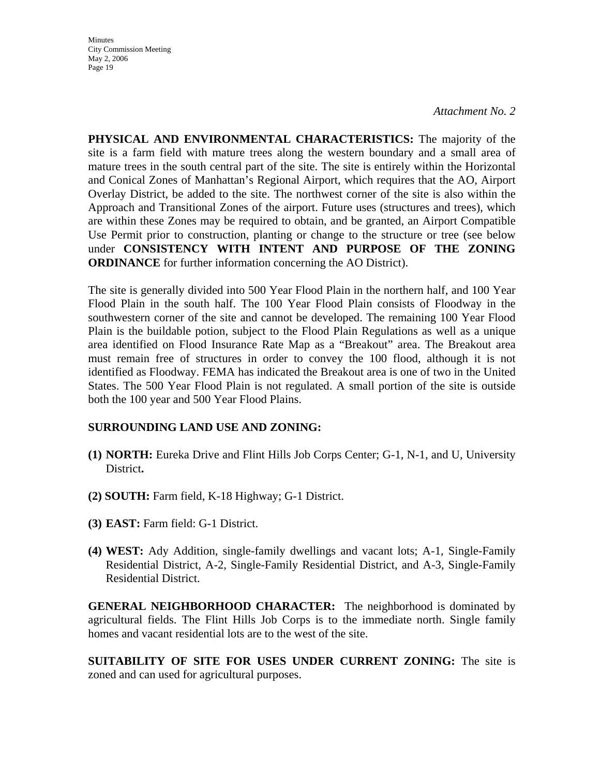*Attachment No. 2*

**PHYSICAL AND ENVIRONMENTAL CHARACTERISTICS:** The majority of the site is a farm field with mature trees along the western boundary and a small area of mature trees in the south central part of the site. The site is entirely within the Horizontal and Conical Zones of Manhattan's Regional Airport, which requires that the AO, Airport Overlay District, be added to the site. The northwest corner of the site is also within the Approach and Transitional Zones of the airport. Future uses (structures and trees), which are within these Zones may be required to obtain, and be granted, an Airport Compatible Use Permit prior to construction, planting or change to the structure or tree (see below under **CONSISTENCY WITH INTENT AND PURPOSE OF THE ZONING ORDINANCE** for further information concerning the AO District).

The site is generally divided into 500 Year Flood Plain in the northern half, and 100 Year Flood Plain in the south half. The 100 Year Flood Plain consists of Floodway in the southwestern corner of the site and cannot be developed. The remaining 100 Year Flood Plain is the buildable potion, subject to the Flood Plain Regulations as well as a unique area identified on Flood Insurance Rate Map as a "Breakout" area. The Breakout area must remain free of structures in order to convey the 100 flood, although it is not identified as Floodway. FEMA has indicated the Breakout area is one of two in the United States. The 500 Year Flood Plain is not regulated. A small portion of the site is outside both the 100 year and 500 Year Flood Plains.

#### **SURROUNDING LAND USE AND ZONING:**

- **(1) NORTH:** Eureka Drive and Flint Hills Job Corps Center; G-1, N-1, and U, University District**.**
- **(2) SOUTH:** Farm field, K-18 Highway; G-1 District.
- **(3) EAST:** Farm field: G-1 District.
- **(4) WEST:** Ady Addition, single-family dwellings and vacant lots; A-1, Single-Family Residential District, A-2, Single-Family Residential District, and A-3, Single-Family Residential District.

**GENERAL NEIGHBORHOOD CHARACTER:** The neighborhood is dominated by agricultural fields. The Flint Hills Job Corps is to the immediate north. Single family homes and vacant residential lots are to the west of the site.

**SUITABILITY OF SITE FOR USES UNDER CURRENT ZONING:** The site is zoned and can used for agricultural purposes.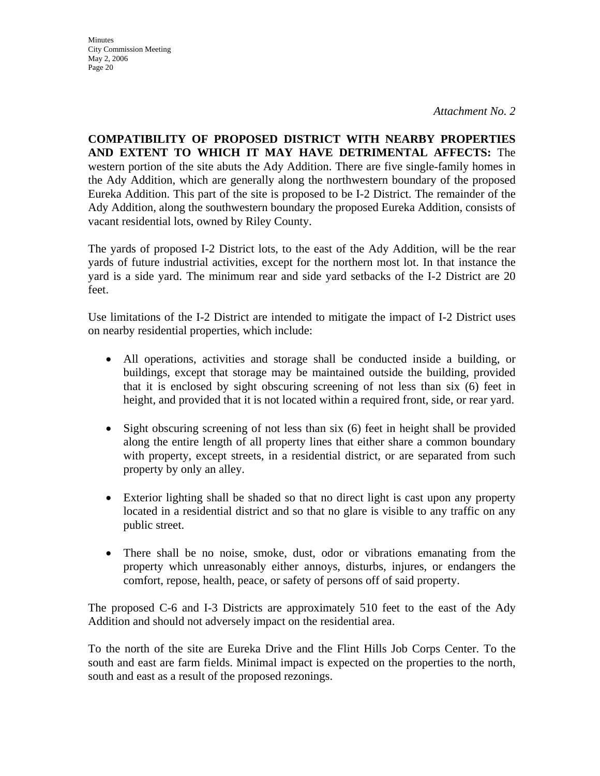*Attachment No. 2*

**COMPATIBILITY OF PROPOSED DISTRICT WITH NEARBY PROPERTIES AND EXTENT TO WHICH IT MAY HAVE DETRIMENTAL AFFECTS:** The western portion of the site abuts the Ady Addition. There are five single-family homes in the Ady Addition, which are generally along the northwestern boundary of the proposed Eureka Addition. This part of the site is proposed to be I-2 District. The remainder of the Ady Addition, along the southwestern boundary the proposed Eureka Addition, consists of vacant residential lots, owned by Riley County.

The yards of proposed I-2 District lots, to the east of the Ady Addition, will be the rear yards of future industrial activities, except for the northern most lot. In that instance the yard is a side yard. The minimum rear and side yard setbacks of the I-2 District are 20 feet.

Use limitations of the I-2 District are intended to mitigate the impact of I-2 District uses on nearby residential properties, which include:

- All operations, activities and storage shall be conducted inside a building, or buildings, except that storage may be maintained outside the building, provided that it is enclosed by sight obscuring screening of not less than six (6) feet in height, and provided that it is not located within a required front, side, or rear yard.
- Sight obscuring screening of not less than six (6) feet in height shall be provided along the entire length of all property lines that either share a common boundary with property, except streets, in a residential district, or are separated from such property by only an alley.
- Exterior lighting shall be shaded so that no direct light is cast upon any property located in a residential district and so that no glare is visible to any traffic on any public street.
- There shall be no noise, smoke, dust, odor or vibrations emanating from the property which unreasonably either annoys, disturbs, injures, or endangers the comfort, repose, health, peace, or safety of persons off of said property.

The proposed C-6 and I-3 Districts are approximately 510 feet to the east of the Ady Addition and should not adversely impact on the residential area.

To the north of the site are Eureka Drive and the Flint Hills Job Corps Center. To the south and east are farm fields. Minimal impact is expected on the properties to the north, south and east as a result of the proposed rezonings.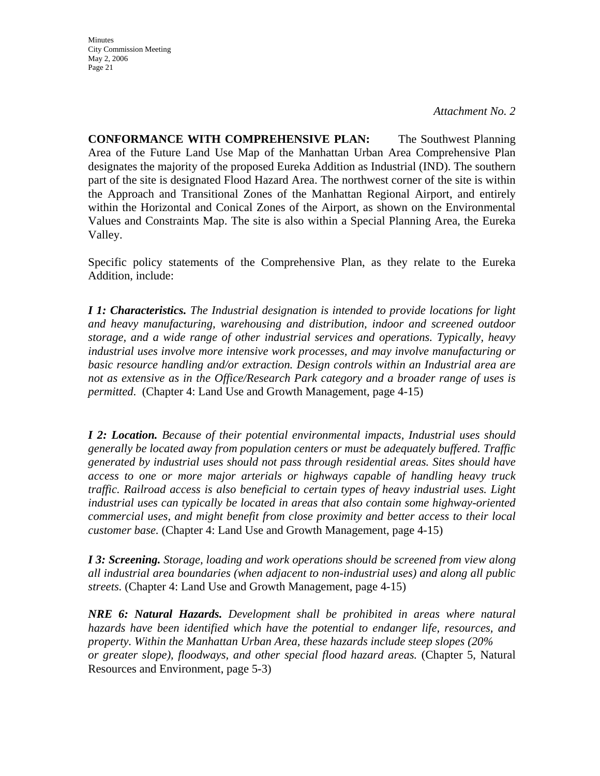*Attachment No. 2*

**CONFORMANCE WITH COMPREHENSIVE PLAN:** The Southwest Planning Area of the Future Land Use Map of the Manhattan Urban Area Comprehensive Plan designates the majority of the proposed Eureka Addition as Industrial (IND). The southern part of the site is designated Flood Hazard Area. The northwest corner of the site is within the Approach and Transitional Zones of the Manhattan Regional Airport, and entirely within the Horizontal and Conical Zones of the Airport, as shown on the Environmental Values and Constraints Map. The site is also within a Special Planning Area, the Eureka Valley.

Specific policy statements of the Comprehensive Plan, as they relate to the Eureka Addition, include:

*I 1: Characteristics. The Industrial designation is intended to provide locations for light and heavy manufacturing, warehousing and distribution, indoor and screened outdoor storage, and a wide range of other industrial services and operations. Typically, heavy industrial uses involve more intensive work processes, and may involve manufacturing or basic resource handling and/or extraction. Design controls within an Industrial area are not as extensive as in the Office/Research Park category and a broader range of uses is permitted*. (Chapter 4: Land Use and Growth Management, page 4-15)

*I 2: Location. Because of their potential environmental impacts, Industrial uses should generally be located away from population centers or must be adequately buffered. Traffic generated by industrial uses should not pass through residential areas. Sites should have access to one or more major arterials or highways capable of handling heavy truck traffic. Railroad access is also beneficial to certain types of heavy industrial uses. Light industrial uses can typically be located in areas that also contain some highway-oriented commercial uses, and might benefit from close proximity and better access to their local customer base.* (Chapter 4: Land Use and Growth Management, page 4-15)

*I 3: Screening. Storage, loading and work operations should be screened from view along all industrial area boundaries (when adjacent to non-industrial uses) and along all public streets.* (Chapter 4: Land Use and Growth Management, page 4-15)

*NRE 6: Natural Hazards. Development shall be prohibited in areas where natural hazards have been identified which have the potential to endanger life, resources, and property. Within the Manhattan Urban Area, these hazards include steep slopes (20% or greater slope), floodways, and other special flood hazard areas.* (Chapter 5, Natural Resources and Environment, page 5-3)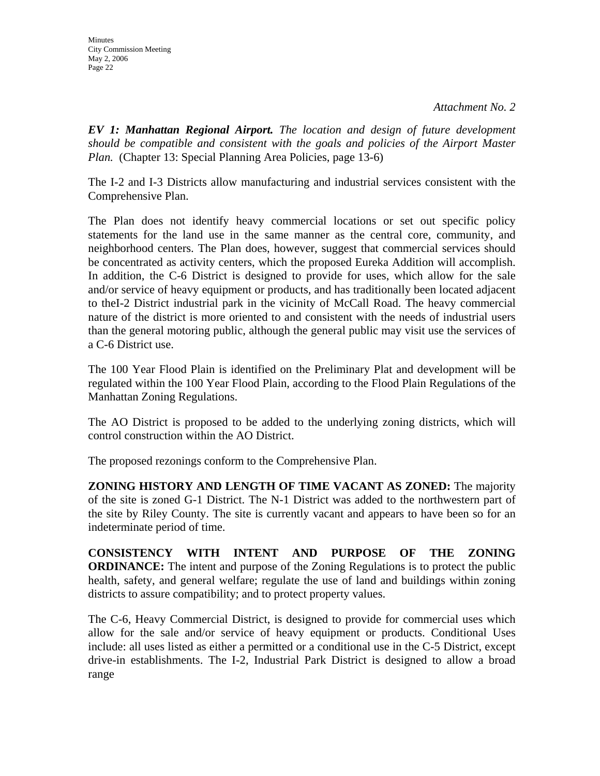*EV 1: Manhattan Regional Airport. The location and design of future development should be compatible and consistent with the goals and policies of the Airport Master Plan.* (Chapter 13: Special Planning Area Policies, page 13-6)

The I-2 and I-3 Districts allow manufacturing and industrial services consistent with the Comprehensive Plan.

The Plan does not identify heavy commercial locations or set out specific policy statements for the land use in the same manner as the central core, community, and neighborhood centers. The Plan does, however, suggest that commercial services should be concentrated as activity centers, which the proposed Eureka Addition will accomplish. In addition, the C-6 District is designed to provide for uses, which allow for the sale and/or service of heavy equipment or products, and has traditionally been located adjacent to theI-2 District industrial park in the vicinity of McCall Road. The heavy commercial nature of the district is more oriented to and consistent with the needs of industrial users than the general motoring public, although the general public may visit use the services of a C-6 District use.

The 100 Year Flood Plain is identified on the Preliminary Plat and development will be regulated within the 100 Year Flood Plain, according to the Flood Plain Regulations of the Manhattan Zoning Regulations.

The AO District is proposed to be added to the underlying zoning districts, which will control construction within the AO District.

The proposed rezonings conform to the Comprehensive Plan.

**ZONING HISTORY AND LENGTH OF TIME VACANT AS ZONED:** The majority of the site is zoned G-1 District. The N-1 District was added to the northwestern part of the site by Riley County. The site is currently vacant and appears to have been so for an indeterminate period of time.

**CONSISTENCY WITH INTENT AND PURPOSE OF THE ZONING ORDINANCE:** The intent and purpose of the Zoning Regulations is to protect the public health, safety, and general welfare; regulate the use of land and buildings within zoning districts to assure compatibility; and to protect property values.

The C-6, Heavy Commercial District, is designed to provide for commercial uses which allow for the sale and/or service of heavy equipment or products. Conditional Uses include: all uses listed as either a permitted or a conditional use in the C-5 District, except drive-in establishments. The I-2, Industrial Park District is designed to allow a broad range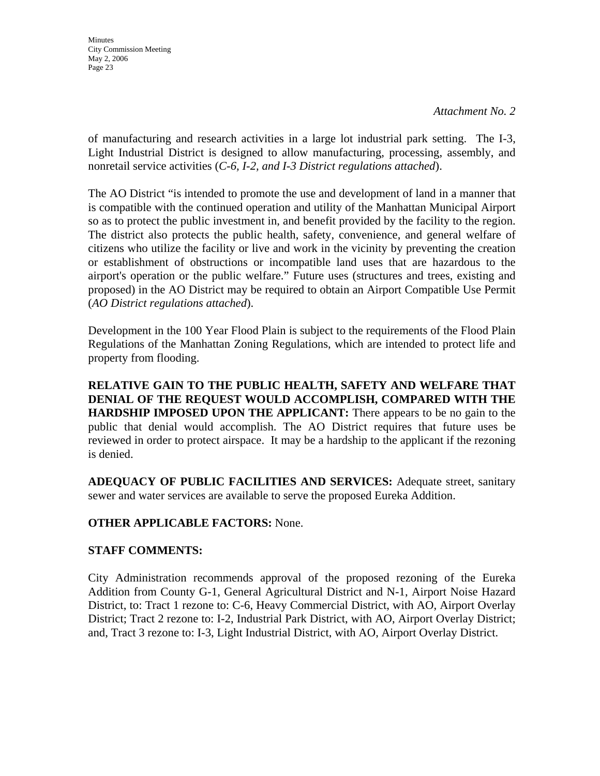**Minutes** City Commission Meeting May 2, 2006 Page 23

of manufacturing and research activities in a large lot industrial park setting. The I-3, Light Industrial District is designed to allow manufacturing, processing, assembly, and nonretail service activities (*C-6, I-2, and I-3 District regulations attached*).

The AO District "is intended to promote the use and development of land in a manner that is compatible with the continued operation and utility of the Manhattan Municipal Airport so as to protect the public investment in, and benefit provided by the facility to the region. The district also protects the public health, safety, convenience, and general welfare of citizens who utilize the facility or live and work in the vicinity by preventing the creation or establishment of obstructions or incompatible land uses that are hazardous to the airport's operation or the public welfare." Future uses (structures and trees, existing and proposed) in the AO District may be required to obtain an Airport Compatible Use Permit (*AO District regulations attached*).

Development in the 100 Year Flood Plain is subject to the requirements of the Flood Plain Regulations of the Manhattan Zoning Regulations, which are intended to protect life and property from flooding.

**RELATIVE GAIN TO THE PUBLIC HEALTH, SAFETY AND WELFARE THAT DENIAL OF THE REQUEST WOULD ACCOMPLISH, COMPARED WITH THE HARDSHIP IMPOSED UPON THE APPLICANT:** There appears to be no gain to the public that denial would accomplish. The AO District requires that future uses be reviewed in order to protect airspace. It may be a hardship to the applicant if the rezoning is denied.

**ADEQUACY OF PUBLIC FACILITIES AND SERVICES:** Adequate street, sanitary sewer and water services are available to serve the proposed Eureka Addition.

## **OTHER APPLICABLE FACTORS:** None.

## **STAFF COMMENTS:**

City Administration recommends approval of the proposed rezoning of the Eureka Addition from County G-1, General Agricultural District and N-1, Airport Noise Hazard District, to: Tract 1 rezone to: C-6, Heavy Commercial District, with AO, Airport Overlay District; Tract 2 rezone to: I-2, Industrial Park District, with AO, Airport Overlay District; and, Tract 3 rezone to: I-3, Light Industrial District, with AO, Airport Overlay District.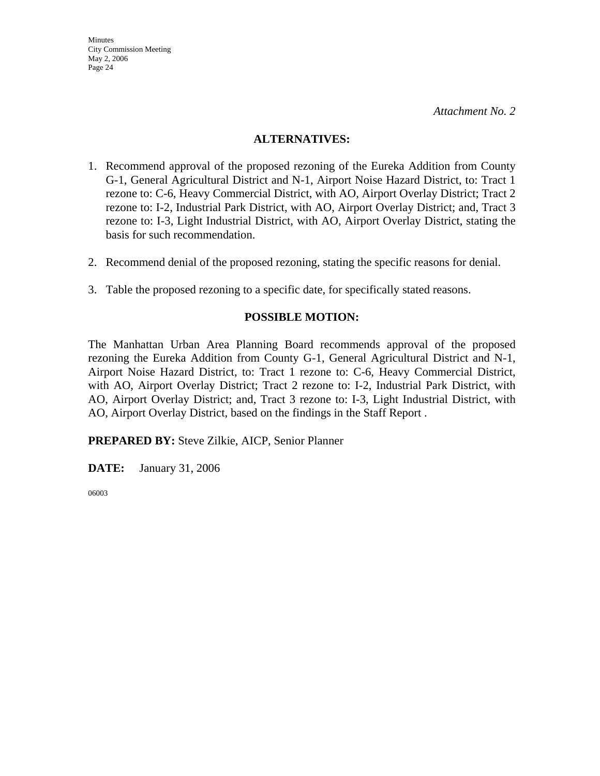#### **ALTERNATIVES:**

- 1. Recommend approval of the proposed rezoning of the Eureka Addition from County G-1, General Agricultural District and N-1, Airport Noise Hazard District, to: Tract 1 rezone to: C-6, Heavy Commercial District, with AO, Airport Overlay District; Tract 2 rezone to: I-2, Industrial Park District, with AO, Airport Overlay District; and, Tract 3 rezone to: I-3, Light Industrial District, with AO, Airport Overlay District, stating the basis for such recommendation.
- 2. Recommend denial of the proposed rezoning, stating the specific reasons for denial.
- 3. Table the proposed rezoning to a specific date, for specifically stated reasons.

#### **POSSIBLE MOTION:**

The Manhattan Urban Area Planning Board recommends approval of the proposed rezoning the Eureka Addition from County G-1, General Agricultural District and N-1, Airport Noise Hazard District, to: Tract 1 rezone to: C-6, Heavy Commercial District, with AO, Airport Overlay District; Tract 2 rezone to: I-2, Industrial Park District, with AO, Airport Overlay District; and, Tract 3 rezone to: I-3, Light Industrial District, with AO, Airport Overlay District, based on the findings in the Staff Report .

**PREPARED BY:** Steve Zilkie, AICP, Senior Planner

**DATE:** January 31, 2006

06003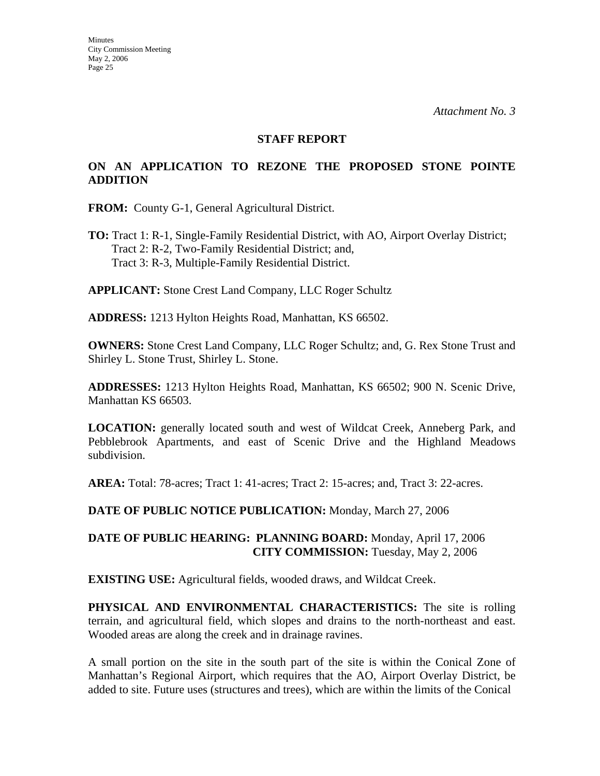#### **STAFF REPORT**

#### **ON AN APPLICATION TO REZONE THE PROPOSED STONE POINTE ADDITION**

**FROM:** County G-1, General Agricultural District.

**TO:** Tract 1: R-1, Single-Family Residential District, with AO, Airport Overlay District; Tract 2: R-2, Two-Family Residential District; and, Tract 3: R-3, Multiple-Family Residential District.

**APPLICANT:** Stone Crest Land Company, LLC Roger Schultz

**ADDRESS:** 1213 Hylton Heights Road, Manhattan, KS 66502.

**OWNERS:** Stone Crest Land Company, LLC Roger Schultz; and, G. Rex Stone Trust and Shirley L. Stone Trust, Shirley L. Stone.

**ADDRESSES:** 1213 Hylton Heights Road, Manhattan, KS 66502; 900 N. Scenic Drive, Manhattan KS 66503.

**LOCATION:** generally located south and west of Wildcat Creek, Anneberg Park, and Pebblebrook Apartments, and east of Scenic Drive and the Highland Meadows subdivision.

**AREA:** Total: 78-acres; Tract 1: 41-acres; Tract 2: 15-acres; and, Tract 3: 22-acres.

**DATE OF PUBLIC NOTICE PUBLICATION:** Monday, March 27, 2006

#### **DATE OF PUBLIC HEARING: PLANNING BOARD:** Monday, April 17, 2006 **CITY COMMISSION:** Tuesday, May 2, 2006

**EXISTING USE:** Agricultural fields, wooded draws, and Wildcat Creek.

**PHYSICAL AND ENVIRONMENTAL CHARACTERISTICS:** The site is rolling terrain, and agricultural field, which slopes and drains to the north-northeast and east. Wooded areas are along the creek and in drainage ravines.

A small portion on the site in the south part of the site is within the Conical Zone of Manhattan's Regional Airport, which requires that the AO, Airport Overlay District, be added to site. Future uses (structures and trees), which are within the limits of the Conical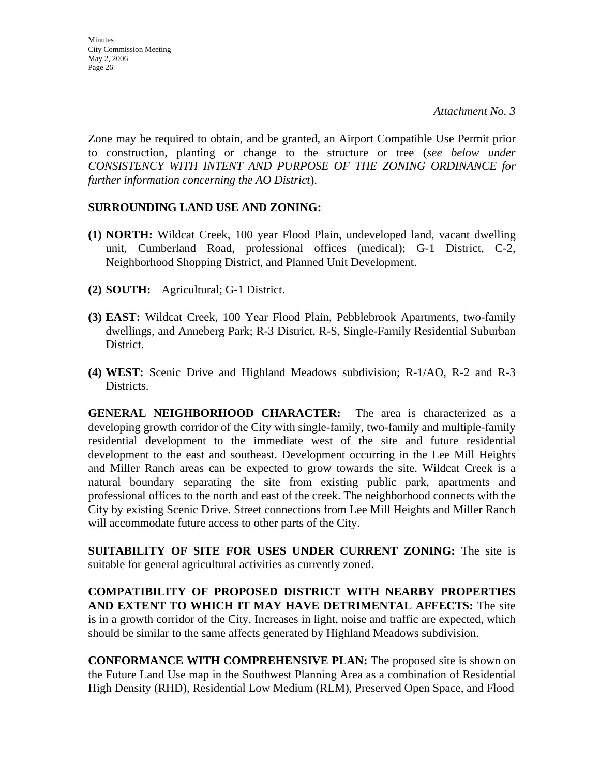Zone may be required to obtain, and be granted, an Airport Compatible Use Permit prior to construction, planting or change to the structure or tree (*see below under CONSISTENCY WITH INTENT AND PURPOSE OF THE ZONING ORDINANCE for further information concerning the AO District*).

#### **SURROUNDING LAND USE AND ZONING:**

- **(1) NORTH:** Wildcat Creek, 100 year Flood Plain, undeveloped land, vacant dwelling unit, Cumberland Road, professional offices (medical); G-1 District, C-2, Neighborhood Shopping District, and Planned Unit Development.
- **(2) SOUTH:** Agricultural; G-1 District.
- **(3) EAST:** Wildcat Creek, 100 Year Flood Plain, Pebblebrook Apartments, two-family dwellings, and Anneberg Park; R-3 District, R-S, Single-Family Residential Suburban District.
- **(4) WEST:** Scenic Drive and Highland Meadows subdivision; R-1/AO, R-2 and R-3 Districts.

**GENERAL NEIGHBORHOOD CHARACTER:** The area is characterized as a developing growth corridor of the City with single-family, two-family and multiple-family residential development to the immediate west of the site and future residential development to the east and southeast. Development occurring in the Lee Mill Heights and Miller Ranch areas can be expected to grow towards the site. Wildcat Creek is a natural boundary separating the site from existing public park, apartments and professional offices to the north and east of the creek. The neighborhood connects with the City by existing Scenic Drive. Street connections from Lee Mill Heights and Miller Ranch will accommodate future access to other parts of the City.

**SUITABILITY OF SITE FOR USES UNDER CURRENT ZONING:** The site is suitable for general agricultural activities as currently zoned.

**COMPATIBILITY OF PROPOSED DISTRICT WITH NEARBY PROPERTIES AND EXTENT TO WHICH IT MAY HAVE DETRIMENTAL AFFECTS:** The site is in a growth corridor of the City. Increases in light, noise and traffic are expected, which should be similar to the same affects generated by Highland Meadows subdivision.

**CONFORMANCE WITH COMPREHENSIVE PLAN:** The proposed site is shown on the Future Land Use map in the Southwest Planning Area as a combination of Residential High Density (RHD), Residential Low Medium (RLM), Preserved Open Space, and Flood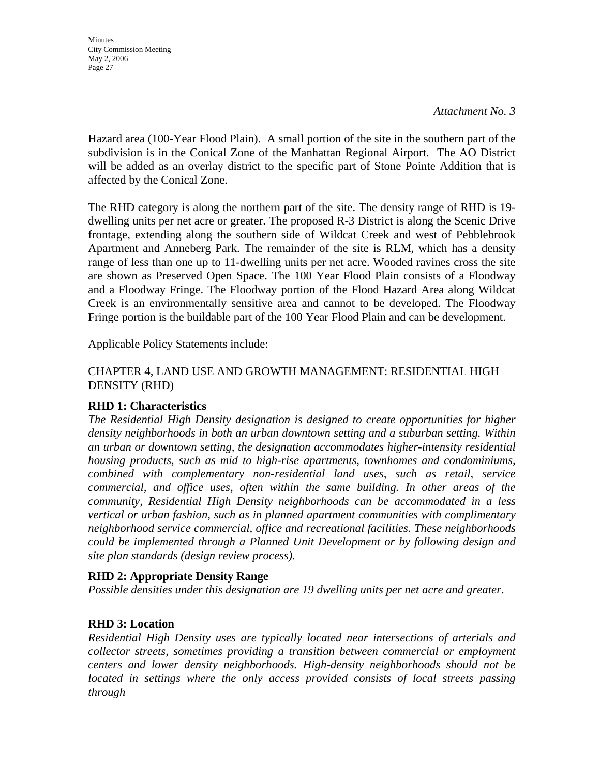*Attachment No. 3* 

Hazard area (100-Year Flood Plain). A small portion of the site in the southern part of the subdivision is in the Conical Zone of the Manhattan Regional Airport. The AO District will be added as an overlay district to the specific part of Stone Pointe Addition that is affected by the Conical Zone.

The RHD category is along the northern part of the site. The density range of RHD is 19 dwelling units per net acre or greater. The proposed R-3 District is along the Scenic Drive frontage, extending along the southern side of Wildcat Creek and west of Pebblebrook Apartment and Anneberg Park. The remainder of the site is RLM, which has a density range of less than one up to 11-dwelling units per net acre. Wooded ravines cross the site are shown as Preserved Open Space. The 100 Year Flood Plain consists of a Floodway and a Floodway Fringe. The Floodway portion of the Flood Hazard Area along Wildcat Creek is an environmentally sensitive area and cannot to be developed. The Floodway Fringe portion is the buildable part of the 100 Year Flood Plain and can be development.

Applicable Policy Statements include:

### CHAPTER 4, LAND USE AND GROWTH MANAGEMENT: RESIDENTIAL HIGH DENSITY (RHD)

#### **RHD 1: Characteristics**

*The Residential High Density designation is designed to create opportunities for higher density neighborhoods in both an urban downtown setting and a suburban setting. Within an urban or downtown setting, the designation accommodates higher-intensity residential housing products, such as mid to high-rise apartments, townhomes and condominiums, combined with complementary non-residential land uses, such as retail, service commercial, and office uses, often within the same building. In other areas of the community, Residential High Density neighborhoods can be accommodated in a less vertical or urban fashion, such as in planned apartment communities with complimentary neighborhood service commercial, office and recreational facilities. These neighborhoods could be implemented through a Planned Unit Development or by following design and site plan standards (design review process).* 

#### **RHD 2: Appropriate Density Range**

*Possible densities under this designation are 19 dwelling units per net acre and greater*.

#### **RHD 3: Location**

*Residential High Density uses are typically located near intersections of arterials and collector streets, sometimes providing a transition between commercial or employment centers and lower density neighborhoods. High-density neighborhoods should not be located in settings where the only access provided consists of local streets passing through*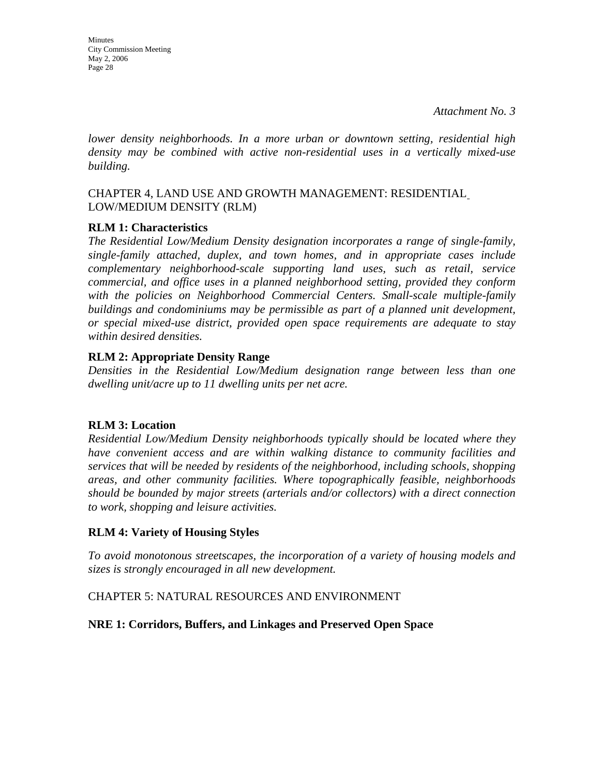**Minutes** City Commission Meeting May 2, 2006 Page 28

*lower density neighborhoods. In a more urban or downtown setting, residential high density may be combined with active non-residential uses in a vertically mixed-use building.* 

### CHAPTER 4, LAND USE AND GROWTH MANAGEMENT: RESIDENTIAL LOW/MEDIUM DENSITY (RLM)

#### **RLM 1: Characteristics**

*The Residential Low/Medium Density designation incorporates a range of single-family, single-family attached, duplex, and town homes, and in appropriate cases include complementary neighborhood-scale supporting land uses, such as retail, service commercial, and office uses in a planned neighborhood setting, provided they conform*  with the policies on Neighborhood Commercial Centers. Small-scale multiple-family *buildings and condominiums may be permissible as part of a planned unit development, or special mixed-use district, provided open space requirements are adequate to stay within desired densities.* 

#### **RLM 2: Appropriate Density Range**

*Densities in the Residential Low/Medium designation range between less than one dwelling unit/acre up to 11 dwelling units per net acre.* 

## **RLM 3: Location**

*Residential Low/Medium Density neighborhoods typically should be located where they have convenient access and are within walking distance to community facilities and services that will be needed by residents of the neighborhood, including schools, shopping areas, and other community facilities. Where topographically feasible, neighborhoods should be bounded by major streets (arterials and/or collectors) with a direct connection to work, shopping and leisure activities.* 

## **RLM 4: Variety of Housing Styles**

*To avoid monotonous streetscapes, the incorporation of a variety of housing models and sizes is strongly encouraged in all new development.* 

#### CHAPTER 5: NATURAL RESOURCES AND ENVIRONMENT

## **NRE 1: Corridors, Buffers, and Linkages and Preserved Open Space**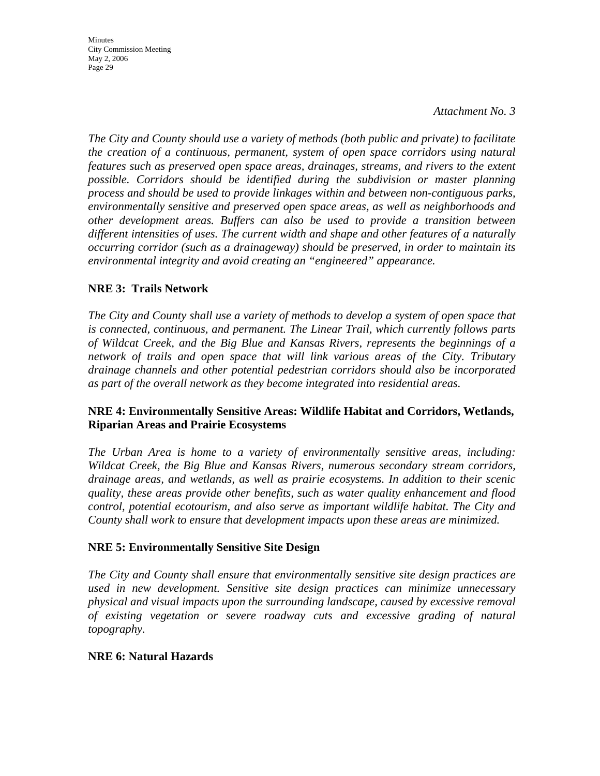*Attachment No. 3* 

*The City and County should use a variety of methods (both public and private) to facilitate the creation of a continuous, permanent, system of open space corridors using natural features such as preserved open space areas, drainages, streams, and rivers to the extent possible. Corridors should be identified during the subdivision or master planning process and should be used to provide linkages within and between non-contiguous parks, environmentally sensitive and preserved open space areas, as well as neighborhoods and other development areas. Buffers can also be used to provide a transition between different intensities of uses. The current width and shape and other features of a naturally occurring corridor (such as a drainageway) should be preserved, in order to maintain its environmental integrity and avoid creating an "engineered" appearance.* 

### **NRE 3: Trails Network**

*The City and County shall use a variety of methods to develop a system of open space that is connected, continuous, and permanent. The Linear Trail, which currently follows parts of Wildcat Creek, and the Big Blue and Kansas Rivers, represents the beginnings of a network of trails and open space that will link various areas of the City. Tributary drainage channels and other potential pedestrian corridors should also be incorporated as part of the overall network as they become integrated into residential areas.* 

#### **NRE 4: Environmentally Sensitive Areas: Wildlife Habitat and Corridors, Wetlands, Riparian Areas and Prairie Ecosystems**

*The Urban Area is home to a variety of environmentally sensitive areas, including: Wildcat Creek, the Big Blue and Kansas Rivers, numerous secondary stream corridors, drainage areas, and wetlands, as well as prairie ecosystems. In addition to their scenic quality, these areas provide other benefits, such as water quality enhancement and flood control, potential ecotourism, and also serve as important wildlife habitat. The City and County shall work to ensure that development impacts upon these areas are minimized.* 

#### **NRE 5: Environmentally Sensitive Site Design**

*The City and County shall ensure that environmentally sensitive site design practices are used in new development. Sensitive site design practices can minimize unnecessary physical and visual impacts upon the surrounding landscape, caused by excessive removal of existing vegetation or severe roadway cuts and excessive grading of natural topography.* 

#### **NRE 6: Natural Hazards**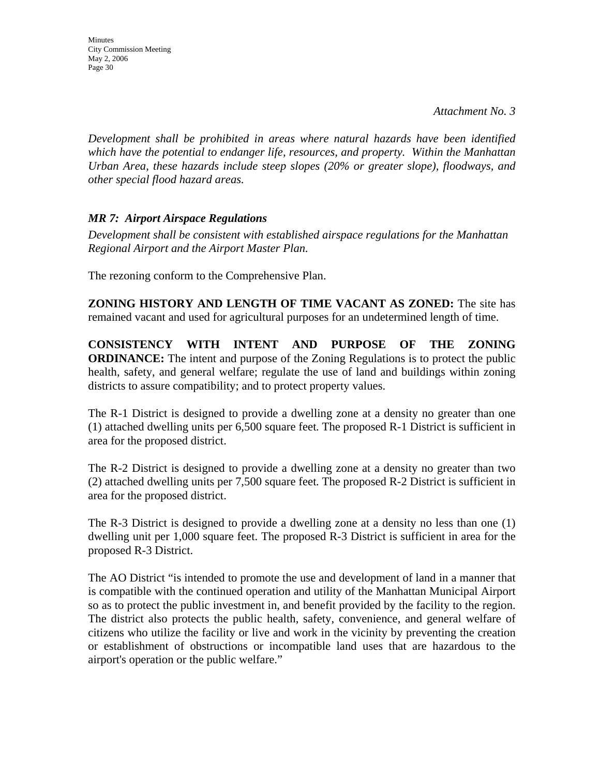**Minutes** City Commission Meeting May 2, 2006 Page 30

*Development shall be prohibited in areas where natural hazards have been identified which have the potential to endanger life, resources, and property. Within the Manhattan Urban Area, these hazards include steep slopes (20% or greater slope), floodways, and other special flood hazard areas.* 

#### *MR 7: Airport Airspace Regulations*

*Development shall be consistent with established airspace regulations for the Manhattan Regional Airport and the Airport Master Plan.* 

The rezoning conform to the Comprehensive Plan.

**ZONING HISTORY AND LENGTH OF TIME VACANT AS ZONED:** The site has remained vacant and used for agricultural purposes for an undetermined length of time.

**CONSISTENCY WITH INTENT AND PURPOSE OF THE ZONING ORDINANCE:** The intent and purpose of the Zoning Regulations is to protect the public health, safety, and general welfare; regulate the use of land and buildings within zoning districts to assure compatibility; and to protect property values.

The R-1 District is designed to provide a dwelling zone at a density no greater than one (1) attached dwelling units per 6,500 square feet. The proposed R-1 District is sufficient in area for the proposed district.

The R-2 District is designed to provide a dwelling zone at a density no greater than two (2) attached dwelling units per 7,500 square feet. The proposed R-2 District is sufficient in area for the proposed district.

The R-3 District is designed to provide a dwelling zone at a density no less than one (1) dwelling unit per 1,000 square feet. The proposed R-3 District is sufficient in area for the proposed R-3 District.

The AO District "is intended to promote the use and development of land in a manner that is compatible with the continued operation and utility of the Manhattan Municipal Airport so as to protect the public investment in, and benefit provided by the facility to the region. The district also protects the public health, safety, convenience, and general welfare of citizens who utilize the facility or live and work in the vicinity by preventing the creation or establishment of obstructions or incompatible land uses that are hazardous to the airport's operation or the public welfare."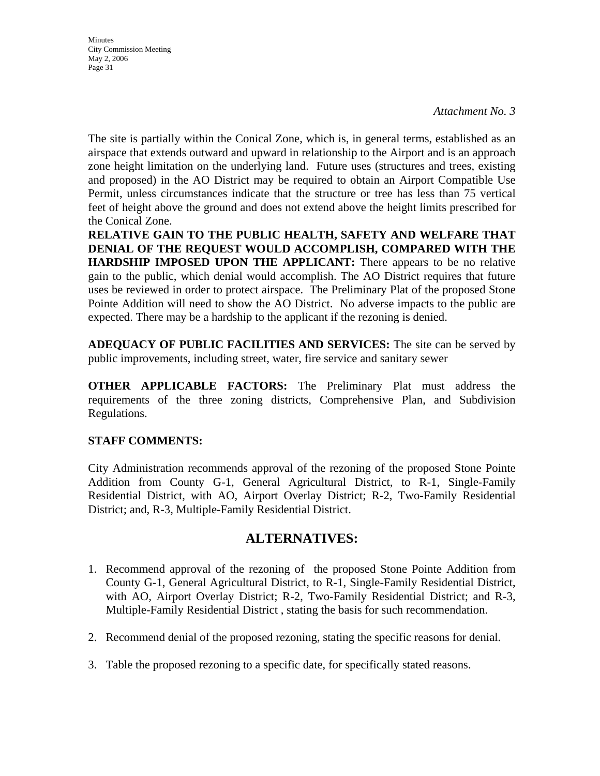*Attachment No. 3* 

The site is partially within the Conical Zone, which is, in general terms, established as an airspace that extends outward and upward in relationship to the Airport and is an approach zone height limitation on the underlying land. Future uses (structures and trees, existing and proposed) in the AO District may be required to obtain an Airport Compatible Use Permit, unless circumstances indicate that the structure or tree has less than 75 vertical feet of height above the ground and does not extend above the height limits prescribed for the Conical Zone.

**RELATIVE GAIN TO THE PUBLIC HEALTH, SAFETY AND WELFARE THAT DENIAL OF THE REQUEST WOULD ACCOMPLISH, COMPARED WITH THE HARDSHIP IMPOSED UPON THE APPLICANT:** There appears to be no relative gain to the public, which denial would accomplish. The AO District requires that future uses be reviewed in order to protect airspace. The Preliminary Plat of the proposed Stone Pointe Addition will need to show the AO District. No adverse impacts to the public are expected. There may be a hardship to the applicant if the rezoning is denied.

**ADEQUACY OF PUBLIC FACILITIES AND SERVICES:** The site can be served by public improvements, including street, water, fire service and sanitary sewer

**OTHER APPLICABLE FACTORS:** The Preliminary Plat must address the requirements of the three zoning districts, Comprehensive Plan, and Subdivision Regulations.

#### **STAFF COMMENTS:**

City Administration recommends approval of the rezoning of the proposed Stone Pointe Addition from County G-1, General Agricultural District, to R-1, Single-Family Residential District, with AO, Airport Overlay District; R-2, Two-Family Residential District; and, R-3, Multiple-Family Residential District.

## **ALTERNATIVES:**

- 1. Recommend approval of the rezoning of the proposed Stone Pointe Addition from County G-1, General Agricultural District, to R-1, Single-Family Residential District, with AO, Airport Overlay District; R-2, Two-Family Residential District; and R-3, Multiple-Family Residential District , stating the basis for such recommendation.
- 2. Recommend denial of the proposed rezoning, stating the specific reasons for denial.
- 3. Table the proposed rezoning to a specific date, for specifically stated reasons.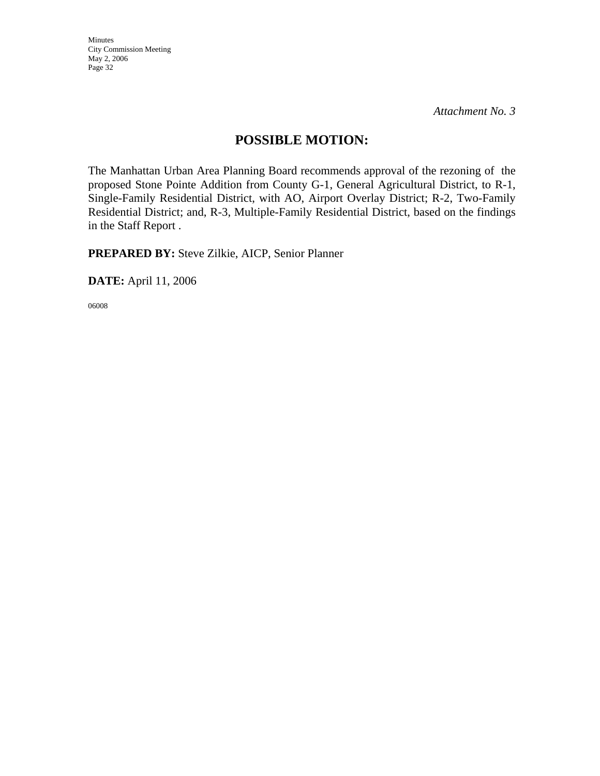*Attachment No. 3* 

## **POSSIBLE MOTION:**

The Manhattan Urban Area Planning Board recommends approval of the rezoning of the proposed Stone Pointe Addition from County G-1, General Agricultural District, to R-1, Single-Family Residential District, with AO, Airport Overlay District; R-2, Two-Family Residential District; and, R-3, Multiple-Family Residential District, based on the findings in the Staff Report .

**PREPARED BY:** Steve Zilkie, AICP, Senior Planner

**DATE:** April 11, 2006

06008